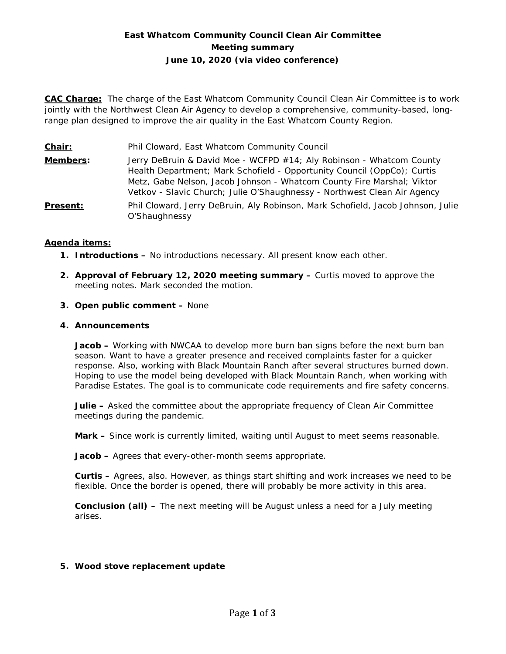# **East Whatcom Community Council Clean Air Committee Meeting summary June 10, 2020 (via video conference)**

**CAC Charge:** The charge of the East Whatcom Community Council Clean Air Committee is to work jointly with the Northwest Clean Air Agency to develop a comprehensive, community-based, longrange plan designed to improve the air quality in the East Whatcom County Region.

**Chair:** Phil Cloward, East Whatcom Community Council **Members:** Jerry DeBruin & David Moe - WCFPD #14; Aly Robinson - Whatcom County Health Department; Mark Schofield - Opportunity Council (OppCo); Curtis Metz, Gabe Nelson, Jacob Johnson - Whatcom County Fire Marshal; Viktor Vetkov - Slavic Church; Julie O'Shaughnessy - Northwest Clean Air Agency **Present:** Phil Cloward, Jerry DeBruin, Aly Robinson, Mark Schofield, Jacob Johnson, Julie O'Shaughnessy

## **Agenda items:**

- **1. Introductions –** No introductions necessary. All present know each other.
- **2. Approval of February 12, 2020 meeting summary –** Curtis moved to approve the meeting notes. Mark seconded the motion.
- **3. Open public comment –** None

#### **4. Announcements**

**Jacob –** Working with NWCAA to develop more burn ban signs before the next burn ban season. Want to have a greater presence and received complaints faster for a quicker response. Also, working with Black Mountain Ranch after several structures burned down. Hoping to use the model being developed with Black Mountain Ranch, when working with Paradise Estates. The goal is to communicate code requirements and fire safety concerns.

**Julie –** Asked the committee about the appropriate frequency of Clean Air Committee meetings during the pandemic.

**Mark –** Since work is currently limited, waiting until August to meet seems reasonable.

**Jacob –** Agrees that every-other-month seems appropriate.

**Curtis –** Agrees, also. However, as things start shifting and work increases we need to be flexible. Once the border is opened, there will probably be more activity in this area.

**Conclusion (all) –** The next meeting will be August unless a need for a July meeting arises.

## **5. Wood stove replacement update**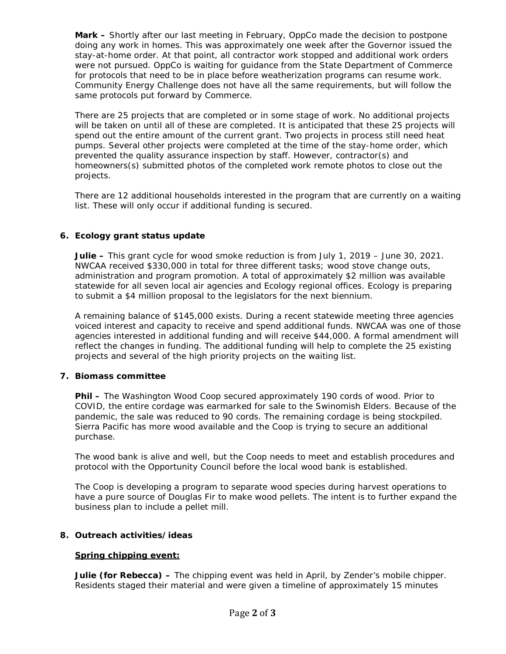**Mark –** Shortly after our last meeting in February, OppCo made the decision to postpone doing any work in homes. This was approximately one week after the Governor issued the stay-at-home order. At that point, all contractor work stopped and additional work orders were not pursued. OppCo is waiting for guidance from the State Department of Commerce for protocols that need to be in place before weatherization programs can resume work. Community Energy Challenge does not have all the same requirements, but will follow the same protocols put forward by Commerce.

There are 25 projects that are completed or in some stage of work. No additional projects will be taken on until all of these are completed. It is anticipated that these 25 projects will spend out the entire amount of the current grant. Two projects in process still need heat pumps. Several other projects were completed at the time of the stay-home order, which prevented the quality assurance inspection by staff. However, contractor(s) and homeowners(s) submitted photos of the completed work remote photos to close out the projects.

There are 12 additional households interested in the program that are currently on a waiting list. These will only occur if additional funding is secured.

## **6. Ecology grant status update**

**Julie –** This grant cycle for wood smoke reduction is from July 1, 2019 – June 30, 2021. NWCAA received \$330,000 in total for three different tasks; wood stove change outs, administration and program promotion. A total of approximately \$2 million was available statewide for all seven local air agencies and Ecology regional offices. Ecology is preparing to submit a \$4 million proposal to the legislators for the next biennium.

A remaining balance of \$145,000 exists. During a recent statewide meeting three agencies voiced interest and capacity to receive and spend additional funds. NWCAA was one of those agencies interested in additional funding and will receive \$44,000. A formal amendment will reflect the changes in funding. The additional funding will help to complete the 25 existing projects and several of the high priority projects on the waiting list.

## **7. Biomass committee**

**Phil –** The Washington Wood Coop secured approximately 190 cords of wood. Prior to COVID, the entire cordage was earmarked for sale to the Swinomish Elders. Because of the pandemic, the sale was reduced to 90 cords. The remaining cordage is being stockpiled. Sierra Pacific has more wood available and the Coop is trying to secure an additional purchase.

The wood bank is alive and well, but the Coop needs to meet and establish procedures and protocol with the Opportunity Council before the local wood bank is established.

The Coop is developing a program to separate wood species during harvest operations to have a pure source of Douglas Fir to make wood pellets. The intent is to further expand the business plan to include a pellet mill.

## **8. Outreach activities/ideas**

## **Spring chipping event:**

**Julie (for Rebecca) –** The chipping event was held in April, by Zender's mobile chipper. Residents staged their material and were given a timeline of approximately 15 minutes